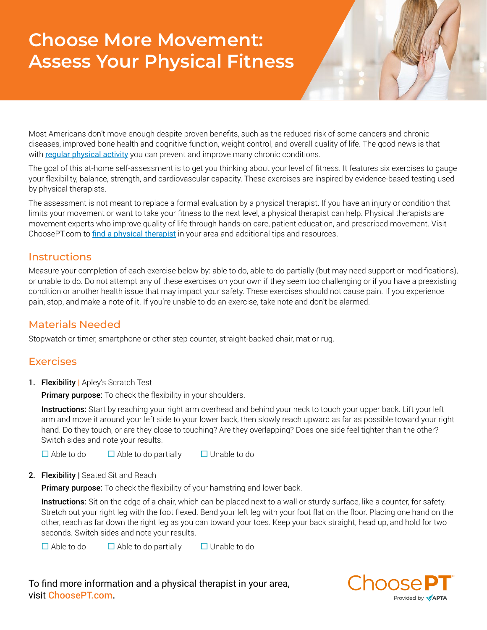## **Choose More Movement: Assess Your Physical Fitness**

Most Americans don't move enough despite proven benefits, such as the reduced risk of some cancers and chronic diseases, improved bone health and cognitive function, weight control, and overall quality of life. The good news is that with [regular physical activity](https://www.hhs.gov/fitness/be-active/physical-activity-guidelines-for-americans/index.html) you can prevent and improve many chronic conditions.

The goal of this at-home self-assessment is to get you thinking about your level of fitness. It features six exercises to gauge your flexibility, balance, strength, and cardiovascular capacity. These exercises are inspired by evidence-based testing used by physical therapists.

The assessment is not meant to replace a formal evaluation by a physical therapist. If you have an injury or condition that limits your movement or want to take your fitness to the next level, a physical therapist can help. Physical therapists are movement experts who improve quality of life through hands-on care, patient education, and prescribed movement. Visit ChoosePT.com to [find a physical therapist](https://aptaapps.apta.org/APTAPTDirectory/FindAPTDirectory.aspx) in your area and additional tips and resources.

## **Instructions**

Measure your completion of each exercise below by: able to do, able to do partially (but may need support or modifications), or unable to do. Do not attempt any of these exercises on your own if they seem too challenging or if you have a preexisting condition or another health issue that may impact your safety. These exercises should not cause pain. If you experience pain, stop, and make a note of it. If you're unable to do an exercise, take note and don't be alarmed.

## Materials Needed

Stopwatch or timer, smartphone or other step counter, straight-backed chair, mat or rug.

## **Exercises**

1. Flexibility | Apley's Scratch Test

Primary purpose: To check the flexibility in your shoulders.

Instructions: Start by reaching your right arm overhead and behind your neck to touch your upper back. Lift your left arm and move it around your left side to your lower back, then slowly reach upward as far as possible toward your right hand. Do they touch, or are they close to touching? Are they overlapping? Does one side feel tighter than the other? Switch sides and note your results.

 $\Box$  Able to do  $\Box$  Able to do partially  $\Box$  Unable to do

2. Flexibility | Seated Sit and Reach

Primary purpose: To check the flexibility of your hamstring and lower back.

Instructions: Sit on the edge of a chair, which can be placed next to a wall or sturdy surface, like a counter, for safety. Stretch out your right leg with the foot flexed. Bend your left leg with your foot flat on the floor. Placing one hand on the other, reach as far down the right leg as you can toward your toes. Keep your back straight, head up, and hold for two seconds. Switch sides and note your results.

 $\Box$  Able to do  $\Box$  Able to do partially  $\Box$  Unable to do

To find more information and a physical therapist in your area, visit ChoosePT.com.